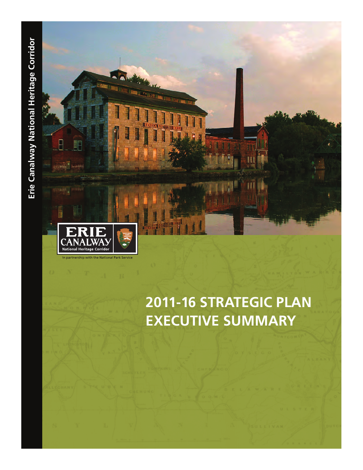

# **2011-16 STRATEGIC PLAN EXECUTIVE SUMMARY**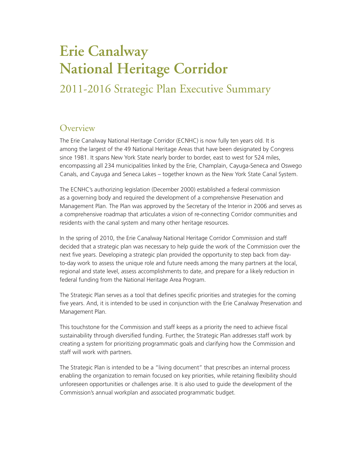# **Erie Canalway National Heritage Corridor**

# 2011-2016 Strategic Plan Executive Summary

#### **Overview**

The Erie Canalway National Heritage Corridor (ECNHC) is now fully ten years old. It is among the largest of the 49 National Heritage Areas that have been designated by Congress since 1981. It spans New York State nearly border to border, east to west for 524 miles, encompassing all 234 municipalities linked by the Erie, Champlain, Cayuga-Seneca and Oswego Canals, and Cayuga and Seneca Lakes – together known as the New York State Canal System.

The ECNHC's authorizing legislation (December 2000) established a federal commission as a governing body and required the development of a comprehensive Preservation and Management Plan. The Plan was approved by the Secretary of the Interior in 2006 and serves as a comprehensive roadmap that articulates a vision of re-connecting Corridor communities and residents with the canal system and many other heritage resources.

In the spring of 2010, the Erie Canalway National Heritage Corridor Commission and staff decided that a strategic plan was necessary to help guide the work of the Commission over the next five years. Developing a strategic plan provided the opportunity to step back from dayto-day work to assess the unique role and future needs among the many partners at the local, regional and state level, assess accomplishments to date, and prepare for a likely reduction in federal funding from the National Heritage Area Program.

The Strategic Plan serves as a tool that defines specific priorities and strategies for the coming five years. And, it is intended to be used in conjunction with the Erie Canalway Preservation and Management Plan.

This touchstone for the Commission and staff keeps as a priority the need to achieve fiscal sustainability through diversified funding. Further, the Strategic Plan addresses staff work by creating a system for prioritizing programmatic goals and clarifying how the Commission and staff will work with partners.

The Strategic Plan is intended to be a "living document" that prescribes an internal process enabling the organization to remain focused on key priorities, while retaining flexibility should unforeseen opportunities or challenges arise. It is also used to guide the development of the Commission's annual workplan and associated programmatic budget.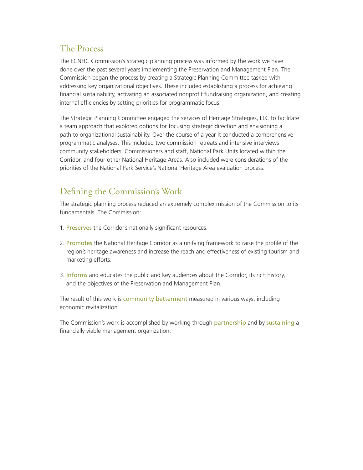## The Process

The ECNHC Commission's strategic planning process was informed by the work we have done over the past several years implementing the Preservation and Management Plan. The Commission began the process by creating a Strategic Planning Committee tasked with addressing key organizational objectives. These included establishing a process for achieving financial sustainability, activating an associated nonprofit fundraising organization, and creating internal efficiencies by setting priorities for programmatic focus.

The Strategic Planning Committee engaged the services of Heritage Strategies, LLC to facilitate a team approach that explored options for focusing strategic direction and envisioning a path to organizational sustainability. Over the course of a year it conducted a comprehensive programmatic analyses. This included two commission retreats and intensive interviews community stakeholders, Commissioners and staff, National Park Units located within the Corridor, and four other National Heritage Areas. Also included were considerations of the priorities of the National Park Service's National Heritage Area evaluation process.

# Defining the Commission's Work

The strategic planning process reduced an extremely complex mission of the Commission to its fundamentals. The Commission:

- 1. Preserves the Corridor's nationally significant resources.
- 2. Promotes the National Heritage Corridor as a unifying framework to raise the profile of the region's heritage awareness and increase the reach and effectiveness of existing tourism and marketing efforts.
- 3. Informs and educates the public and key audiences about the Corridor, its rich history, and the objectives of the Preservation and Management Plan.

The result of this work is community betterment measured in various ways, including economic revitalization.

The Commission's work is accomplished by working through partnership and by sustaining a financially viable management organization.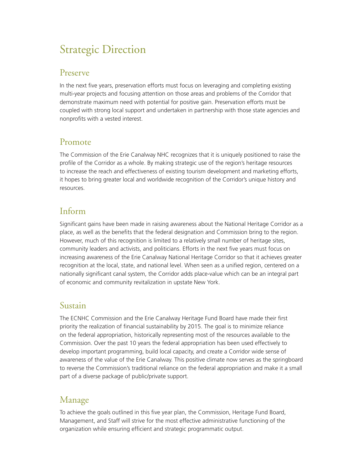# Strategic Direction

#### Preserve

In the next five years, preservation efforts must focus on leveraging and completing existing multi-year projects and focusing attention on those areas and problems of the Corridor that demonstrate maximum need with potential for positive gain. Preservation efforts must be coupled with strong local support and undertaken in partnership with those state agencies and nonprofits with a vested interest.

#### Promote

The Commission of the Erie Canalway NHC recognizes that it is uniquely positioned to raise the profile of the Corridor as a whole. By making strategic use of the region's heritage resources to increase the reach and effectiveness of existing tourism development and marketing efforts, it hopes to bring greater local and worldwide recognition of the Corridor's unique history and resources.

### Inform

Significant gains have been made in raising awareness about the National Heritage Corridor as a place, as well as the benefits that the federal designation and Commission bring to the region. However, much of this recognition is limited to a relatively small number of heritage sites, community leaders and activists, and politicians. Efforts in the next five years must focus on increasing awareness of the Erie Canalway National Heritage Corridor so that it achieves greater recognition at the local, state, and national level. When seen as a unified region, centered on a nationally significant canal system, the Corridor adds place-value which can be an integral part of economic and community revitalization in upstate New York.

#### Sustain

The ECNHC Commission and the Erie Canalway Heritage Fund Board have made their first priority the realization of financial sustainability by 2015. The goal is to minimize reliance on the federal appropriation, historically representing most of the resources available to the Commission. Over the past 10 years the federal appropriation has been used effectively to develop important programming, build local capacity, and create a Corridor wide sense of awareness of the value of the Erie Canalway. This positive climate now serves as the springboard to reverse the Commission's traditional reliance on the federal appropriation and make it a small part of a diverse package of public/private support.

### Manage

To achieve the goals outlined in this five year plan, the Commission, Heritage Fund Board, Management, and Staff will strive for the most effective administrative functioning of the organization while ensuring efficient and strategic programmatic output.